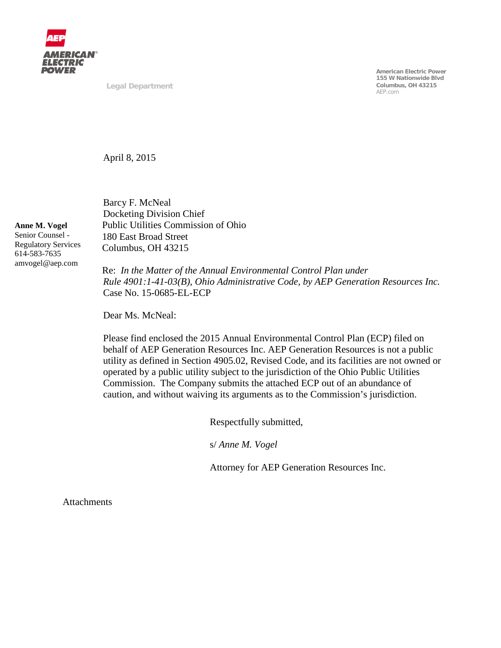

**Legal Department**

**American Electric Power 155 W Nationwide Blvd Columbus, OH 43215** AEP.com

April 8, 2015

Barcy F. McNeal Docketing Division Chief Public Utilities Commission of Ohio 180 East Broad Street Columbus, OH 43215

Re: *In the Matter of the Annual Environmental Control Plan under Rule 4901:1-41-03(B), Ohio Administrative Code, by AEP Generation Resources Inc.*  Case No. 15-0685-EL-ECP

Dear Ms. McNeal:

Please find enclosed the 2015 Annual Environmental Control Plan (ECP) filed on behalf of AEP Generation Resources Inc. AEP Generation Resources is not a public utility as defined in Section 4905.02, Revised Code, and its facilities are not owned or operated by a public utility subject to the jurisdiction of the Ohio Public Utilities Commission. The Company submits the attached ECP out of an abundance of caution, and without waiving its arguments as to the Commission's jurisdiction.

Respectfully submitted,

s/ *Anne M. Vogel*

Attorney for AEP Generation Resources Inc.

**Attachments** 

**Anne M. Vogel** Senior Counsel - Regulatory Services 614-583-7635 amvogel@aep.com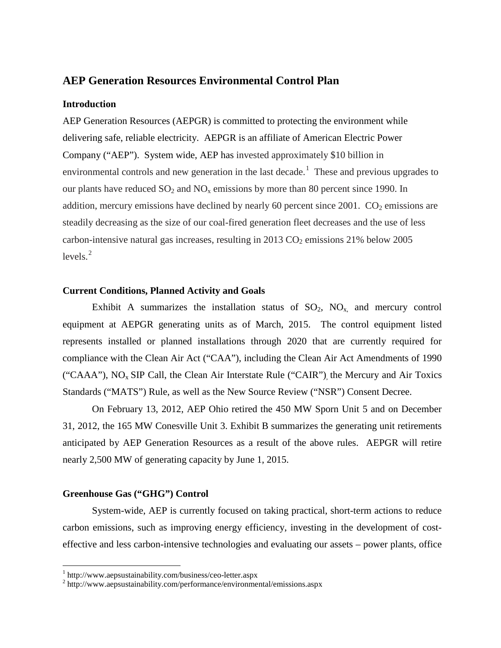### **AEP Generation Resources Environmental Control Plan**

#### **Introduction**

AEP Generation Resources (AEPGR) is committed to protecting the environment while delivering safe, reliable electricity. AEPGR is an affiliate of American Electric Power Company ("AEP"). System wide, AEP has invested approximately \$10 billion in environmental controls and new generation in the last decade.<sup>[1](#page-1-1)</sup> These and previous upgrades to our plants have reduced  $SO_2$  and  $NO_x$  emissions by more than 80 percent since 1990. In addition, mercury emissions have declined by nearly 60 percent since  $2001$ .  $CO<sub>2</sub>$  emissions are steadily decreasing as the size of our coal-fired generation fleet decreases and the use of less carbon-intensive natural gas increases, resulting in  $2013 \text{ CO}_2$  emissions  $21\%$  below  $2005$ levels. [2](#page-1-0)

#### **Current Conditions, Planned Activity and Goals**

Exhibit A summarizes the installation status of  $SO_2$ ,  $NO_x$  and mercury control equipment at AEPGR generating units as of March, 2015. The control equipment listed represents installed or planned installations through 2020 that are currently required for compliance with the Clean Air Act ("CAA"), including the Clean Air Act Amendments of 1990 ("CAAA"),  $NO<sub>x</sub>$  SIP Call, the Clean Air Interstate Rule ("CAIR") the Mercury and Air Toxics Standards ("MATS") Rule, as well as the New Source Review ("NSR") Consent Decree.

On February 13, 2012, AEP Ohio retired the 450 MW Sporn Unit 5 and on December 31, 2012, the 165 MW Conesville Unit 3. Exhibit B summarizes the generating unit retirements anticipated by AEP Generation Resources as a result of the above rules. AEPGR will retire nearly 2,500 MW of generating capacity by June 1, 2015.

#### **Greenhouse Gas ("GHG") Control**

System-wide, AEP is currently focused on taking practical, short-term actions to reduce carbon emissions, such as improving energy efficiency, investing in the development of costeffective and less carbon-intensive technologies and evaluating our assets – power plants, office

<span id="page-1-1"></span><span id="page-1-0"></span><sup>&</sup>lt;sup>1</sup> http://www.aepsustainability.com/business/ceo-letter.aspx<br> $\frac{2}{\pi}$ http://www.aepsustainability.com/performance/environmental/emissions.aspx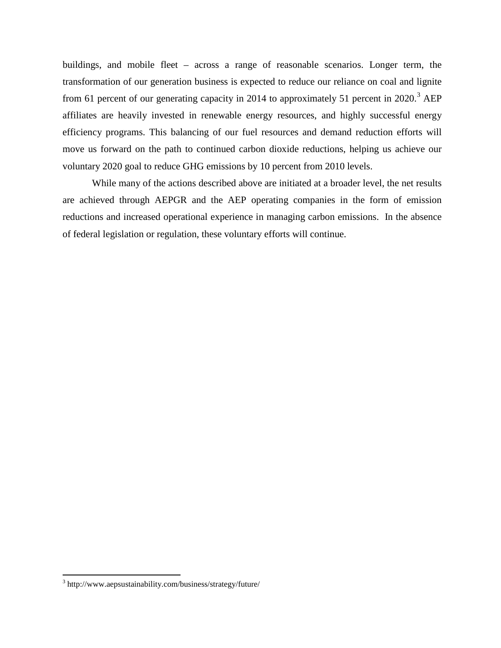buildings, and mobile fleet – across a range of reasonable scenarios. Longer term, the transformation of our generation business is expected to reduce our reliance on coal and lignite from 61 percent of our generating capacity in 2014 to approximately 51 percent in 2020.<sup>[3](#page-2-0)</sup> AEP affiliates are heavily invested in renewable energy resources, and highly successful energy efficiency programs. This balancing of our fuel resources and demand reduction efforts will move us forward on the path to continued carbon dioxide reductions, helping us achieve our voluntary 2020 goal to reduce GHG emissions by 10 percent from 2010 levels.

While many of the actions described above are initiated at a broader level, the net results are achieved through AEPGR and the AEP operating companies in the form of emission reductions and increased operational experience in managing carbon emissions. In the absence of federal legislation or regulation, these voluntary efforts will continue.

<span id="page-2-0"></span><sup>3</sup> http://www.aepsustainability.com/business/strategy/future/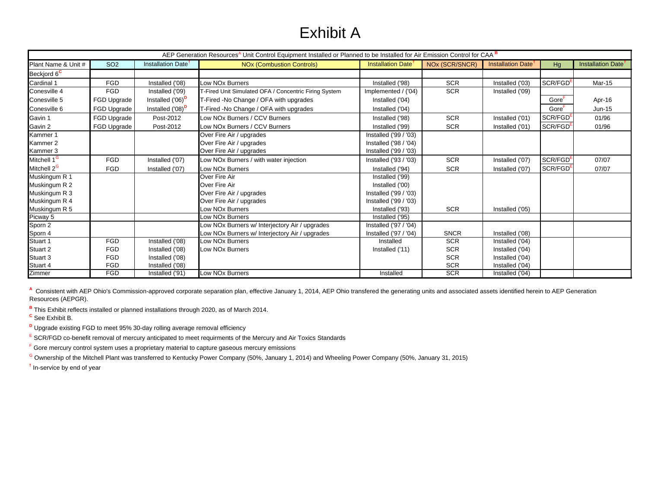# Exhibit A

| AEP Generation Resources <sup>A</sup> Unit Control Equipment Installed or Planned to be Installed for Air Emission Control for CAA <sup>B</sup> |                 |                                |                                                       |                                      |                |                                      |                      |                                |  |
|-------------------------------------------------------------------------------------------------------------------------------------------------|-----------------|--------------------------------|-------------------------------------------------------|--------------------------------------|----------------|--------------------------------------|----------------------|--------------------------------|--|
| Plant Name & Unit #                                                                                                                             | SO <sub>2</sub> | Installation Date <sup>1</sup> | <b>NOx (Combustion Controls)</b>                      | <b>Installation Date<sup>1</sup></b> | NOx (SCR/SNCR) | <b>Installation Date<sup>1</sup></b> | Hg                   | Installation Date <sup>T</sup> |  |
| Beckjord 6 <sup>c</sup>                                                                                                                         |                 |                                |                                                       |                                      |                |                                      |                      |                                |  |
| Cardinal 1                                                                                                                                      | <b>FGD</b>      | Installed ('08)                | Low NO <sub>x</sub> Burners                           | Installed ('98)                      | <b>SCR</b>     | Installed ('03)                      | SCR/FGD <sup>E</sup> | Mar-15                         |  |
| Conesville 4                                                                                                                                    | <b>FGD</b>      | Installed ('09)                | T-Fired Unit Simulated OFA / Concentric Firing System | Implemented / ('04)                  | <b>SCR</b>     | Installed ('09)                      |                      |                                |  |
| Conesville 5                                                                                                                                    | FGD Upgrade     | Installed ('06) <sup>D</sup>   | T-Fired -No Change / OFA with upgrades                | Installed ('04)                      |                |                                      | Gore'                | Apr-16                         |  |
| Conesville 6                                                                                                                                    | FGD Upgrade     | Installed ('08) <sup>D</sup>   | T-Fired -No Change / OFA with upgrades                | Installed ('04)                      |                |                                      | Gore <sup>F</sup>    | <b>Jun-15</b>                  |  |
| Gavin 1                                                                                                                                         | FGD Upgrade     | Post-2012                      | Low NOx Burners / CCV Burners                         | Installed ('98)                      | <b>SCR</b>     | Installed ('01)                      | SCR/FGD <sup>E</sup> | 01/96                          |  |
| Gavin 2                                                                                                                                         | FGD Upgrade     | Post-2012                      | Low NOx Burners / CCV Burners                         | Installed ('99)                      | <b>SCR</b>     | Installed ('01)                      | SCR/FGD <sup>E</sup> | 01/96                          |  |
| Kammer 1                                                                                                                                        |                 |                                | Over Fire Air / upgrades                              | Installed ('99 / '03)                |                |                                      |                      |                                |  |
| Kammer 2                                                                                                                                        |                 |                                | Over Fire Air / upgrades                              | Installed ('98 / '04)                |                |                                      |                      |                                |  |
| Kammer 3                                                                                                                                        |                 |                                | Over Fire Air / upgrades                              | Installed ('99 / '03)                |                |                                      |                      |                                |  |
| Mitchell 1 <sup>G</sup>                                                                                                                         | <b>FGD</b>      | Installed ('07)                | Low NOx Burners / with water injection                | Installed ('93 / '03)                | SCR            | Installed ('07)                      | SCR/FGD <sup>E</sup> | 07/07                          |  |
| Mitchell 2 <sup>G</sup>                                                                                                                         | <b>FGD</b>      | Installed ('07)                | Low NO <sub>x</sub> Burners                           | Installed ('94)                      | <b>SCR</b>     | Installed ('07)                      | SCR/FGD <sup>E</sup> | 07/07                          |  |
| Muskingum R 1                                                                                                                                   |                 |                                | Over Fire Air                                         | Installed ('99)                      |                |                                      |                      |                                |  |
| Muskingum R 2                                                                                                                                   |                 |                                | Over Fire Air                                         | Installed ('00)                      |                |                                      |                      |                                |  |
| Muskingum R 3                                                                                                                                   |                 |                                | Over Fire Air / upgrades                              | Installed ('99 / '03)                |                |                                      |                      |                                |  |
| Muskingum R 4                                                                                                                                   |                 |                                | Over Fire Air / upgrades                              | Installed ('99 / '03)                |                |                                      |                      |                                |  |
| Muskingum R 5                                                                                                                                   |                 |                                | Low NOx Burners                                       | Installed ('93)                      | <b>SCR</b>     | Installed ('05)                      |                      |                                |  |
| Picway 5                                                                                                                                        |                 |                                | Low NOx Burners                                       | Installed ('95)                      |                |                                      |                      |                                |  |
| Sporn 2                                                                                                                                         |                 |                                | Low NOx Burners w/ Interjectory Air / upgrades        | Installed ('97 / '04)                |                |                                      |                      |                                |  |
| Sporn 4                                                                                                                                         |                 |                                | Low NOx Burners w/ Interjectory Air / upgrades        | Installed ('97 / '04)                | <b>SNCR</b>    | Installed ('08)                      |                      |                                |  |
| Stuart 1                                                                                                                                        | <b>FGD</b>      | Installed ('08)                | Low NO <sub>x</sub> Burners                           | Installed                            | <b>SCR</b>     | Installed ('04)                      |                      |                                |  |
| Stuart 2                                                                                                                                        | <b>FGD</b>      | Installed ('08)                | Low NO <sub>x</sub> Burners                           | Installed ('11)                      | <b>SCR</b>     | Installed ('04)                      |                      |                                |  |
| Stuart 3                                                                                                                                        | <b>FGD</b>      | Installed ('08)                |                                                       |                                      | <b>SCR</b>     | Installed ('04)                      |                      |                                |  |
| Stuart 4                                                                                                                                        | <b>FGD</b>      | Installed ('08)                |                                                       |                                      | <b>SCR</b>     | Installed ('04)                      |                      |                                |  |
| Zimmer                                                                                                                                          | <b>FGD</b>      | Installed ('91)                | Low NOx Burners                                       | Installed                            | <b>SCR</b>     | Installed ('04)                      |                      |                                |  |

A Consistent with AEP Ohio's Commission-approved corporate separation plan, effective January 1, 2014, AEP Ohio transfered the generating units and associated assets identified herein to AEP Generation Resources (AEPGR).

**<sup>B</sup>** This Exhibit reflects installed or planned installations through 2020, as of March 2014.

**<sup>C</sup>** See Exhibit B.

**D** Upgrade existing FGD to meet 95% 30-day rolling average removal efficiency

E SCR/FGD co-benefit removal of mercury anticipated to meet requirments of the Mercury and Air Toxics Standards

F Gore mercury control system uses a proprietary material to capture gaseous mercury emissions

<sup>G</sup> Ownership of the Mitchell Plant was transferred to Kentucky Power Company (50%, January 1, 2014) and Wheeling Power Company (50%, January 31, 2015)

**†** In-service by end of year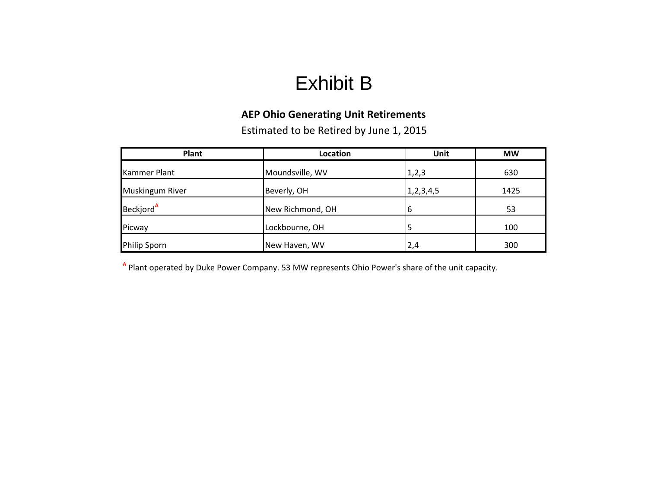# Exhibit B

## **AEP Ohio Generating Unit Retirements**

Estimated to be Retired by June 1, 2015

| Plant                  | Location         | Unit          | <b>MW</b> |
|------------------------|------------------|---------------|-----------|
| <b>Kammer Plant</b>    | Moundsville, WV  | 1, 2, 3       | 630       |
| <b>Muskingum River</b> | Beverly, OH      | 1, 2, 3, 4, 5 | 1425      |
| Beckjord <sup>A</sup>  | New Richmond, OH | 16            | 53        |
| Picway                 | Lockbourne, OH   |               | 100       |
| Philip Sporn           | New Haven, WV    | 2,4           | 300       |

**A** Plant operated by Duke Power Company. 53 MW represents Ohio Power's share of the unit capacity.